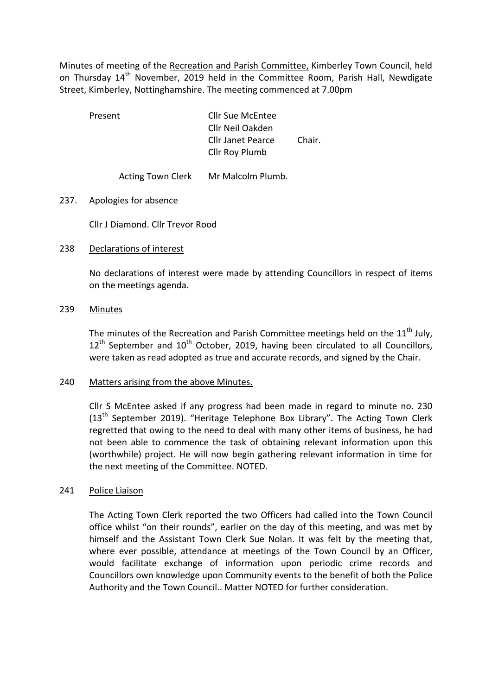Minutes of meeting of the Recreation and Parish Committee, Kimberley Town Council, held on Thursday 14<sup>th</sup> November, 2019 held in the Committee Room, Parish Hall, Newdigate Street, Kimberley, Nottinghamshire. The meeting commenced at 7.00pm

 Present Cllr Sue McEntee Cllr Neil Oakden Cllr Janet Pearce Chair. Cllr Roy Plumb

Acting Town Clerk Mr Malcolm Plumb.

# 237. Apologies for absence

Cllr J Diamond. Cllr Trevor Rood

# 238 Declarations of interest

No declarations of interest were made by attending Councillors in respect of items on the meetings agenda.

## 239 Minutes

The minutes of the Recreation and Parish Committee meetings held on the  $11<sup>th</sup>$  July,  $12<sup>th</sup>$  September and  $10<sup>th</sup>$  October, 2019, having been circulated to all Councillors, were taken as read adopted as true and accurate records, and signed by the Chair.

## 240 Matters arising from the above Minutes.

Cllr S McEntee asked if any progress had been made in regard to minute no. 230  $(13<sup>th</sup>$  September 2019). "Heritage Telephone Box Library". The Acting Town Clerk regretted that owing to the need to deal with many other items of business, he had not been able to commence the task of obtaining relevant information upon this (worthwhile) project. He will now begin gathering relevant information in time for the next meeting of the Committee. NOTED.

## 241 Police Liaison

The Acting Town Clerk reported the two Officers had called into the Town Council office whilst "on their rounds", earlier on the day of this meeting, and was met by himself and the Assistant Town Clerk Sue Nolan. It was felt by the meeting that, where ever possible, attendance at meetings of the Town Council by an Officer, would facilitate exchange of information upon periodic crime records and Councillors own knowledge upon Community events to the benefit of both the Police Authority and the Town Council.. Matter NOTED for further consideration.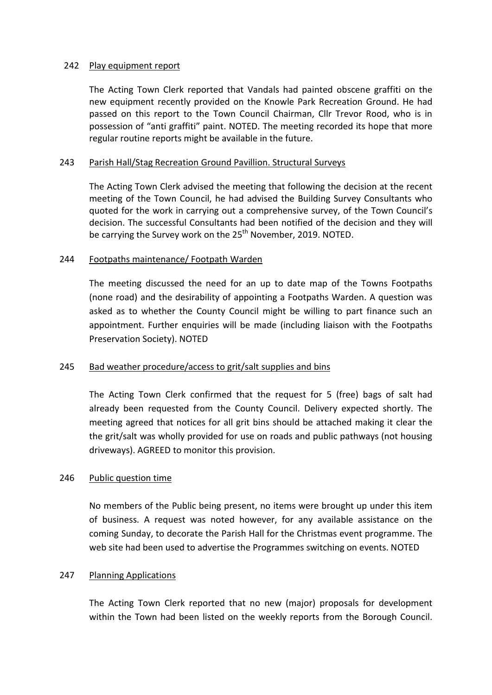## 242 Play equipment report

The Acting Town Clerk reported that Vandals had painted obscene graffiti on the new equipment recently provided on the Knowle Park Recreation Ground. He had passed on this report to the Town Council Chairman, Cllr Trevor Rood, who is in possession of "anti graffiti" paint. NOTED. The meeting recorded its hope that more regular routine reports might be available in the future.

#### 243 Parish Hall/Stag Recreation Ground Pavillion. Structural Surveys

The Acting Town Clerk advised the meeting that following the decision at the recent meeting of the Town Council, he had advised the Building Survey Consultants who quoted for the work in carrying out a comprehensive survey, of the Town Council's decision. The successful Consultants had been notified of the decision and they will be carrying the Survey work on the 25<sup>th</sup> November, 2019. NOTED.

## 244 Footpaths maintenance/ Footpath Warden

The meeting discussed the need for an up to date map of the Towns Footpaths (none road) and the desirability of appointing a Footpaths Warden. A question was asked as to whether the County Council might be willing to part finance such an appointment. Further enquiries will be made (including liaison with the Footpaths Preservation Society). NOTED

## 245 Bad weather procedure/access to grit/salt supplies and bins

The Acting Town Clerk confirmed that the request for 5 (free) bags of salt had already been requested from the County Council. Delivery expected shortly. The meeting agreed that notices for all grit bins should be attached making it clear the the grit/salt was wholly provided for use on roads and public pathways (not housing driveways). AGREED to monitor this provision.

## 246 Public question time

No members of the Public being present, no items were brought up under this item of business. A request was noted however, for any available assistance on the coming Sunday, to decorate the Parish Hall for the Christmas event programme. The web site had been used to advertise the Programmes switching on events. NOTED

#### 247 Planning Applications

The Acting Town Clerk reported that no new (major) proposals for development within the Town had been listed on the weekly reports from the Borough Council.